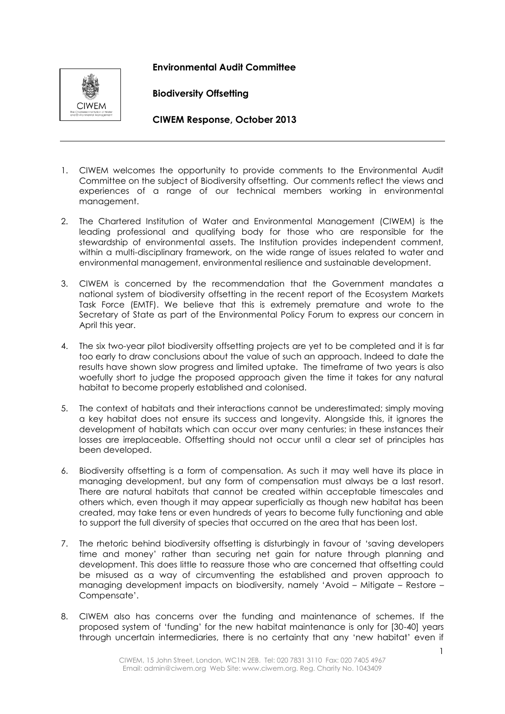## **Environmental Audit Committee**



**Biodiversity Offsetting**

**CIWEM Response, October 2013**

- 1. CIWEM welcomes the opportunity to provide comments to the Environmental Audit Committee on the subject of Biodiversity offsetting. Our comments reflect the views and experiences of a range of our technical members working in environmental management.
- 2. The Chartered Institution of Water and Environmental Management (CIWEM) is the leading professional and qualifying body for those who are responsible for the stewardship of environmental assets. The Institution provides independent comment, within a multi-disciplinary framework, on the wide range of issues related to water and environmental management, environmental resilience and sustainable development.
- 3. CIWEM is concerned by the recommendation that the Government mandates a national system of biodiversity offsetting in the recent report of the Ecosystem Markets Task Force (EMTF). We believe that this is extremely premature and wrote to the Secretary of State as part of the Environmental Policy Forum to express our concern in April this year.
- 4. The six two-year pilot biodiversity offsetting projects are yet to be completed and it is far too early to draw conclusions about the value of such an approach. Indeed to date the results have shown slow progress and limited uptake. The timeframe of two years is also woefully short to judge the proposed approach given the time it takes for any natural habitat to become properly established and colonised.
- 5. The context of habitats and their interactions cannot be underestimated; simply moving a key habitat does not ensure its success and longevity. Alongside this, it ignores the development of habitats which can occur over many centuries; in these instances their losses are irreplaceable. Offsetting should not occur until a clear set of principles has been developed.
- 6. Biodiversity offsetting is a form of compensation. As such it may well have its place in managing development, but any form of compensation must always be a last resort. There are natural habitats that cannot be created within acceptable timescales and others which, even though it may appear superficially as though new habitat has been created, may take tens or even hundreds of years to become fully functioning and able to support the full diversity of species that occurred on the area that has been lost.
- 7. The rhetoric behind biodiversity offsetting is disturbingly in favour of 'saving developers time and money' rather than securing net gain for nature through planning and development. This does little to reassure those who are concerned that offsetting could be misused as a way of circumventing the established and proven approach to managing development impacts on biodiversity, namely 'Avoid – Mitigate – Restore – Compensate'.
- 8. CIWEM also has concerns over the funding and maintenance of schemes. If the proposed system of 'funding' for the new habitat maintenance is only for [30-40] years through uncertain intermediaries, there is no certainty that any 'new habitat' even if